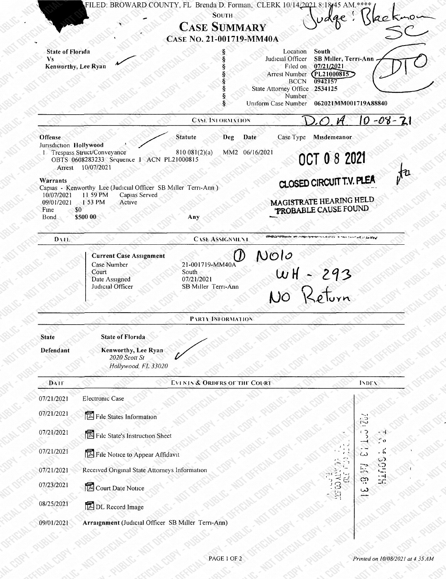|                                                                                                                              |                                                                                                                                                                                                                                                                | <b>CASE SUMMARY</b>                                            | udge:                                                                                                                                                                                                          | Kkeknon                                                                                                    |
|------------------------------------------------------------------------------------------------------------------------------|----------------------------------------------------------------------------------------------------------------------------------------------------------------------------------------------------------------------------------------------------------------|----------------------------------------------------------------|----------------------------------------------------------------------------------------------------------------------------------------------------------------------------------------------------------------|------------------------------------------------------------------------------------------------------------|
| <b>State of Florida</b><br>Vs.<br>Kenworthy, Lee Ryan                                                                        |                                                                                                                                                                                                                                                                | CASE NO. 21-001719-MM40A                                       | South<br>Location<br>SB Miller, Terri-Ann<br>Judicial Officer<br>Filed on 07/21/2021<br>Arrest Number (PL21000815)<br><b>BCCN</b><br>0942157<br>State Attorney Office 2534125<br>Number<br>Uniform Case Number | 062021MM001719A88840                                                                                       |
|                                                                                                                              |                                                                                                                                                                                                                                                                | <b>CASE INFORMATION</b>                                        |                                                                                                                                                                                                                | $0 - 08 - 21$                                                                                              |
| <b>Offense</b><br>Jurisdiction Hollywood<br>Arrest 10/07/2021<br>Warrants<br>10/07/2021<br>09/01/2021<br>\$0<br>Fine<br>Bond | Trespass Struct/Conveyance<br>OBTS 0608283233 Sequence 1 ACN PL21000815<br>Capias - Kenworthy Lee (Judicial Officer SB Miller Terri-Ann)<br>11 59 PM<br>Capias Served<br>$153 \text{ PM}$<br>Active<br>\$500 00                                                | <b>Statute</b><br>Deg<br>MM2 06/16/2021<br>810081(2)(a)<br>Any | Case Type<br>Misdemeanor<br>Date<br>OCT 0 8 2021<br>CLOSED CIRCUIT T.V. PLEA<br>MAGISTRATE HEARING HELD<br><b>PROBABLE CAUSE FOUND</b>                                                                         | r                                                                                                          |
| D <sub>VIL</sub>                                                                                                             |                                                                                                                                                                                                                                                                | <b>CASE ASSIGNMENT</b>                                         | ethodologique se simpo promis sur un e mu tan al i dell'ord                                                                                                                                                    |                                                                                                            |
|                                                                                                                              | <b>Current Case Assignment</b><br>Case Number<br>Court<br>Date Assigned                                                                                                                                                                                        | 21-001719-MM40A<br>South<br>07/21/2021                         | Nolo                                                                                                                                                                                                           |                                                                                                            |
|                                                                                                                              | Judicial Officer                                                                                                                                                                                                                                               | SB Miller Terri-Ann<br><b>PARTY INFORMATION</b>                | WH - 293<br>NO Return                                                                                                                                                                                          |                                                                                                            |
|                                                                                                                              |                                                                                                                                                                                                                                                                |                                                                |                                                                                                                                                                                                                |                                                                                                            |
| <b>State</b><br>Defendant                                                                                                    | <b>State of Florida</b><br>Kenworthy, Lee Ryan<br>2020 Scott St<br>Hollywood, FL 33020                                                                                                                                                                         |                                                                |                                                                                                                                                                                                                |                                                                                                            |
| DAIF                                                                                                                         |                                                                                                                                                                                                                                                                | <b>EVINTS &amp; ORDERS OF THE COURT</b>                        |                                                                                                                                                                                                                | <b>INDEX</b>                                                                                               |
| 07/21/2021<br>07/21/2021<br>07/21/2021<br>07/21/2021<br>07/21/2021<br>07/23/2021<br>08/25/2021<br>09/01/2021                 | Electronic Case<br>File States Information<br>File State's Instruction Sheet<br>File Notice to Appear Affidavit<br>Received Original State Attorneys Information<br>Court Date Notice<br>DL Record Image<br>Arraignment (Judicial Officer SB Miller Terri-Ann) |                                                                | ピ                                                                                                                                                                                                              | $\overline{U}$<br>$\sqrt{2}$<br>r o<br>. .<br>÷,<br>$\omega$<br><b>Rufies</b><br>$\mathbb{R}^2$<br>က္<br>د |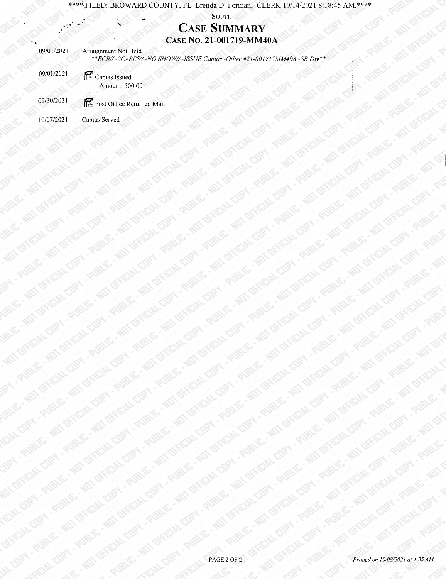**SOUTH** 

#### CASE SUMMARY CASE No. 21-001719-MM40A

**ROWL** 

**ROW** 

PuBLIC

PuBlic

RIB

CORY

Russic

**Rugui** 

PUBLIC

**Rueir** 

PuBlic

**PART** 

**Augi** 

**PRI** 

1921

09/01/2021 Arraignment Not Held \*\*ECR//-2CASES//-NOSHOW//-ISSUECaptas -Other #2 l-001715MM40A-SB Div\*\*

RIB

**Rugui** 

Puerto

Puert

09/01/2021 **Capias Issued** 

Amount 500 00

09/30/2021 Post Office Returned Mail

10/07/2021 Capias Served

PuBus

PuBlic

Public

CORY

PuBuc

**RuBLIC** 

Puerte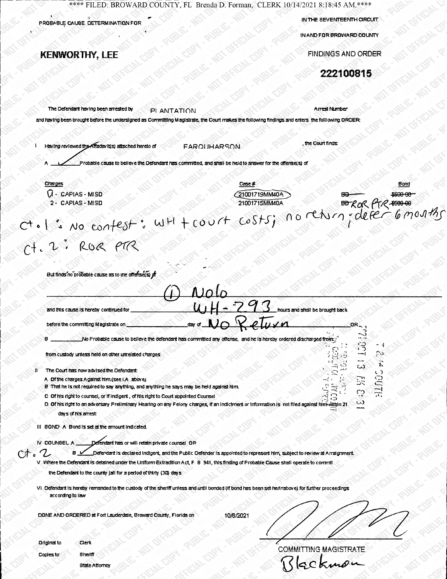|                                        |                                                                                                                                                                                                                                    |              |              |                                         | IN THE SEVENTEENTH CIRCUIT                               |      |
|----------------------------------------|------------------------------------------------------------------------------------------------------------------------------------------------------------------------------------------------------------------------------------|--------------|--------------|-----------------------------------------|----------------------------------------------------------|------|
| PROBABLE CAUSE DETERMINATION FOR       |                                                                                                                                                                                                                                    |              |              |                                         |                                                          |      |
|                                        |                                                                                                                                                                                                                                    |              |              |                                         | IN AND FOR BROWARD COUNTY                                |      |
| <b>KENWORTHY, LEE</b>                  |                                                                                                                                                                                                                                    |              |              |                                         | <b>FINDINGS AND ORDER</b>                                |      |
|                                        |                                                                                                                                                                                                                                    |              |              |                                         | 222100815                                                |      |
|                                        | The Defendant having been arrested by                                                                                                                                                                                              | PI ANTATION  |              | <b>Arrest Number</b>                    |                                                          |      |
|                                        | and having been brought before the undersigned as Committing Magistrate, the Court makes the following findings and enters the following ORDER                                                                                     |              |              |                                         |                                                          |      |
|                                        |                                                                                                                                                                                                                                    |              |              |                                         |                                                          |      |
|                                        | Having reviewed the Affadavitis) attached hereto of                                                                                                                                                                                | FAROUHARSON  |              | the Court finds                         |                                                          |      |
|                                        | Probable cause to believe the Defendant has committed, and shall be held to answer for the offense(s) or                                                                                                                           |              |              |                                         |                                                          |      |
| Charges                                |                                                                                                                                                                                                                                    |              | Case #       |                                         |                                                          | Bond |
|                                        |                                                                                                                                                                                                                                    |              |              |                                         |                                                          |      |
|                                        |                                                                                                                                                                                                                                    |              |              |                                         |                                                          |      |
|                                        | 21001715MM40A BORPIR FOR PRESSED BORD FOR PRESSED BORD POR PRESSED BORD POR PRESSED BORD POR PRESSED BORD PORT                                                                                                                     |              |              |                                         |                                                          |      |
|                                        |                                                                                                                                                                                                                                    |              |              |                                         |                                                          |      |
|                                        |                                                                                                                                                                                                                                    |              |              |                                         |                                                          |      |
|                                        |                                                                                                                                                                                                                                    |              |              |                                         |                                                          |      |
|                                        | But finds no probable cause as to the offense(s) of                                                                                                                                                                                |              |              |                                         |                                                          |      |
| and this cause is hereby continued for |                                                                                                                                                                                                                                    | $\mathbf{D}$ |              | hours and shall be brought back         |                                                          |      |
| before the committing Magistrate on    |                                                                                                                                                                                                                                    |              |              |                                         | OR,                                                      |      |
|                                        | No Probable cause to believe the defendant has committed any offense, and he is hereby ordered discharged from $\gamma$                                                                                                            |              | ma NO Return |                                         | ن<br>د                                                   |      |
|                                        | from custody unless held on other unrelated charges.                                                                                                                                                                               |              |              |                                         | 153<br>) O                                               |      |
|                                        |                                                                                                                                                                                                                                    |              |              |                                         | $\vec{t}$<br>$\omega$                                    |      |
|                                        | The Court has now advised the Defendant:<br>A Of the charges Against him (see i.A above)                                                                                                                                           |              |              |                                         |                                                          |      |
|                                        | B That he is not required to say anything, and anything he says may be held against him.                                                                                                                                           |              |              |                                         | $\mathbb{E}^{\mathcal{I}}_{\mathcal{I}}$                 |      |
|                                        | C Of his right to counsel, or if indigent, of his right to Court appointed Counsel<br>D Of his right to an adversary Preliminary Hearing on any Felony charges, if an indictment or information is not filed against him within 21 |              |              |                                         | <b>COLLER</b><br>$\mathbb{C}^{\mathfrak{d}}$<br>$\omega$ |      |
| days of his arrest:                    |                                                                                                                                                                                                                                    |              |              |                                         |                                                          |      |
|                                        | III BOND A Bond is set at the amount indicated.                                                                                                                                                                                    |              |              |                                         |                                                          |      |
| IV COUNSEL!                            | Defendant has or will retain private counsel OR                                                                                                                                                                                    |              |              |                                         |                                                          |      |
| 8                                      | Defendant is declared indigent, and the Public Defender is appointed to represent him, subject to review at Arraignment.                                                                                                           |              |              |                                         |                                                          |      |
|                                        | V Where the Defendant is detained under the Uniform Extradition Act, F 8 941, this finding of Probable Cause shall operate to commit<br>the Defendant to the county jail for a period of thirty (30) days                          |              |              |                                         |                                                          |      |
|                                        | VI Defendant is hereby remanded to the custody of the sheriff unless and until bonded (if bond has been set herinabove) for further proceedings                                                                                    |              |              |                                         |                                                          |      |
| according to law                       |                                                                                                                                                                                                                                    |              |              |                                         |                                                          |      |
|                                        | DONE AND ORDERED at Fort Lauderdale, Broward County, Florida on                                                                                                                                                                    |              | 10/8/2021    |                                         |                                                          |      |
| Clerk                                  |                                                                                                                                                                                                                                    |              |              |                                         |                                                          |      |
| Ortginal to<br>Copies to:<br>Sheriff   |                                                                                                                                                                                                                                    |              |              | <b>COMMITTING MAGISTRATE</b><br>Skckman |                                                          |      |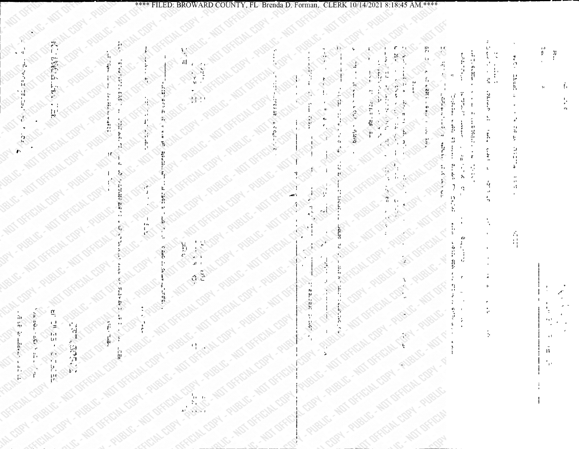A CONTRACTOR AND A REPORT OF THE RESEARCH AND STREET AND STREET AND STREET AND STREET AND STREET AND STREET AND **CALL AND OF**  $\mathfrak{f}^{\mathfrak{s}}$  $\frac{33}{1}$  $\begin{array}{c} \begin{array}{c} \cdot & \cdot \\ \cdot & \cdot \end{array} \\ \begin{array}{c} \frac{\cdot}{\cdot} & \cdot \end{array} \end{array}$ **ELERE**  $\mathcal{M}$ SALA-E  $\frac{1}{k}$ of a control of the state of the state of the state of the state of the state of the state of the state of the  $\frac{1}{3}$ A COMPANY AND RELEASE AND RELEASE AND COMPANY AND COMPANY AND COMPANY AND COMPANY AND COMPANY AND COMPANY AND <br>COMPANY AND COMPANY AND COMPANY AND COMPANY AND COMPANY AND COMPANY AND COMPANY AND COMPANY AND COMPANY AND COM  $\mathbf{r}_\mathrm{c}$ And one of the property and the property of the control of the control of the control of the control of the control of the control of the control of the control of the control of the control of the control of the control o  $\downarrow$ The summarized and control of the summarized and the summarized and the summarized and the summarized and the Ŷ,  $\hat{\Omega}$ Ť.  $\mathbf{R}$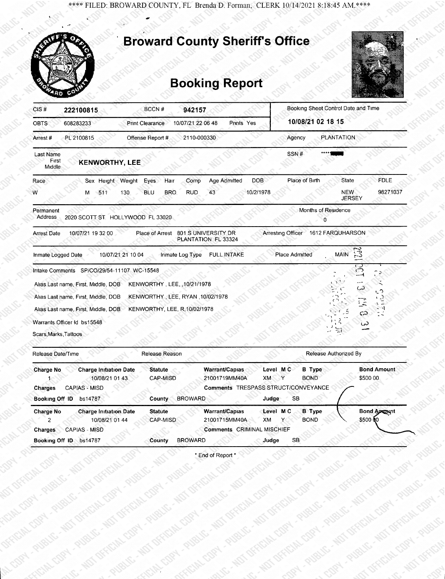### Broward County Sheriffs Office

Booking Report



# '. 1. ' ' /.

#### CIS # 222100815 BCCN # 942157 Booking Sheet Control Date and Time OBTS 608283233 Print Clearance 10/07/21 22 06 48 Prints Yes 10/08/21 02 18 15 Arrest # PL 2100815 Offense Report # 2110-000330 Agency PLANTATION Last Name  $\mathbb{S}^{\mathbb{N}}$  and  $\mathbb{R}^{\mathbb{N}}$  and  $\mathbb{S}^{\mathbb{N}}$  and  $\mathbb{S}^{\mathbb{N}}$  are  $\mathbb{S}^{\mathbb{N}}$  and  $\mathbb{S}^{\mathbb{N}}$  and  $\mathbb{S}^{\mathbb{N}}$  and  $\mathbb{S}^{\mathbb{N}}$  are  $\mathbb{S}^{\mathbb{N}}$  and  $\mathbb{S}^{\mathbb{N}}$  and  $\mathbb{S}^{\mathbb$ First **KENWORTHY, LEE**<br>Middle Race Sex Height Weight Eyes Hair Comp Age Admitted DOB Place of Birth State FDLE W M 511 130 BLU BRO RUD 43 10/2/1978 NEW 98271037 **JERSEY** Permanent Months of Residence<br>Address 2020 SCOTT ST HOLLYWOOD FL 33020 Address 2020 SCOTT ST HOLLYWOOD FL 33020 0 Arrest Date 10/07/21 19 32 00 Place of Arrest 801 S UNIVERSITY DR Arresting Officer 1612 FARQUHARSON PLANTATION FL 33324 N Inmate Logged Date 10/07/21 21 10 04 Inmate Log Type FULL INTAKE Place Admitted MAIN Intake Comments SP/CO/29/54-11107 WC-15548  $\Xi$ Alias Last name, First, Middle, DOB KENWORTHY, LEE, 10/21/1978 Alias Last name, First, Middle, DOB KENWORTHY, LEE, RYAN, 10/02/1978 Alias Last name, First, Middle, DOB KENWORTHY, LEE, R,10/02/1978 -4 t.t  $C<sub>o</sub>$ Warrants Officer Id bs15548 .7 W L-. W L-. W L-. W L-. W L-. W L-. W L-. W L-. W L-. W L-. W L-. W L-. W L-. W L-Scars,Marks,Tattoos Release Date/Time Release Reason Release Authorized By

| <b>Charge No</b> | <b>Charge Initiation Date</b><br>10/08/21 01 43 | <b>Statute</b><br>CAP-MISD | <b>Warrant/Capias</b><br>21001719MM40A | Level MC<br>XM.                   | B Type<br><b>BOND</b> | <b>Bond Amount</b><br>\$500 00 |
|------------------|-------------------------------------------------|----------------------------|----------------------------------------|-----------------------------------|-----------------------|--------------------------------|
| <b>Charges</b>   | CAPIAS - MISD                                   |                            | <b>Comments</b>                        | <b>TRESPASS STRUCT/CONVEYANCE</b> |                       |                                |
| Booking Off ID   | bs14787                                         | County                     | <b>BROWARD</b>                         | <b>SB</b><br>Judae                |                       |                                |
| Charge No        | <b>Charge Initiation Date</b>                   | <b>Statute</b>             | Warrant/Capias                         | Level MC                          | <b>B</b> Type         | <b>Bond Aproxnt</b>            |
|                  | 10/08/21 01 44                                  | CAP-MISD                   | 21001715MM40A                          | XM.<br>Y.                         | <b>BOND</b>           | \$500 QO                       |
| <b>Charges</b>   | CAPIAS - MISD                                   |                            | <b>Comments CRIMINAL MISCHIEF</b>      |                                   |                       |                                |
| Booking Off ID   | bs14787                                         | County                     | <b>BROWARD</b>                         | <b>SB</b><br>Judge                |                       |                                |

\* End of Report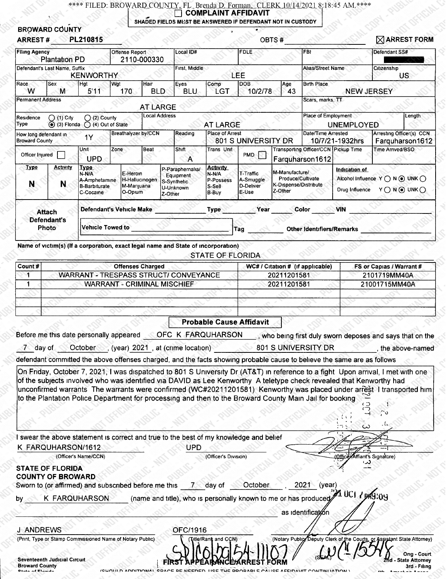$\Box$  COMPLAINT AFFIDAVIT

SHADED FIELDS Ml;ST BE ANSWERED IF DEFENDANT NOT IN CUSTODY

|                                                                                 |                      | PL210815                                           |      |                                         |                                    |                                                                                                         |                                       |                                 | OBTS#                            | FBI                                      |                                                                                                                         | $\boxtimes$ ARREST FORM                                                                                                                                                                                                                                                                                                                  |  |
|---------------------------------------------------------------------------------|----------------------|----------------------------------------------------|------|-----------------------------------------|------------------------------------|---------------------------------------------------------------------------------------------------------|---------------------------------------|---------------------------------|----------------------------------|------------------------------------------|-------------------------------------------------------------------------------------------------------------------------|------------------------------------------------------------------------------------------------------------------------------------------------------------------------------------------------------------------------------------------------------------------------------------------------------------------------------------------|--|
| <b>Filing Agency</b><br><b>Plantation PD</b>                                    |                      |                                                    |      | Offense Report<br>2110-000330           |                                    |                                                                                                         | Local ID#                             |                                 | <b>FDLE</b>                      |                                          |                                                                                                                         | Defendant SS#                                                                                                                                                                                                                                                                                                                            |  |
| Defendant's Last Name, Suffix<br><b>KENWORTHY</b>                               |                      |                                                    |      |                                         |                                    | First, Middle                                                                                           |                                       | LEE                             |                                  | <b>Alias/Street Name</b>                 |                                                                                                                         | Citizenship<br><b>US</b>                                                                                                                                                                                                                                                                                                                 |  |
| Race                                                                            | Sex                  | Hgt                                                | Wgt  |                                         | Hair                               | Eyes                                                                                                    | Comp                                  | DOB                             | Age                              | <b>Birth Place</b>                       |                                                                                                                         |                                                                                                                                                                                                                                                                                                                                          |  |
| W<br><b>Permanent Address</b>                                                   | M                    | 5'11                                               |      | 170                                     | <b>BLD</b>                         | <b>BLU</b>                                                                                              | <b>LGT</b>                            | 10/2/78                         | 43                               | Scars, marks, TT                         |                                                                                                                         | <b>NEW JERSEY</b>                                                                                                                                                                                                                                                                                                                        |  |
|                                                                                 |                      |                                                    |      |                                         | <b>AT LARGE</b>                    |                                                                                                         |                                       |                                 |                                  |                                          |                                                                                                                         |                                                                                                                                                                                                                                                                                                                                          |  |
| (2) County<br>$\bigcirc$ (1) City<br>Residence                                  |                      |                                                    |      |                                         | <b>Local Address</b>               | <b>AT LARGE</b>                                                                                         |                                       |                                 |                                  | Place of Employment<br><b>UNEMPLOYED</b> |                                                                                                                         | Length                                                                                                                                                                                                                                                                                                                                   |  |
| Type<br>$\odot$ (3) Flonda $\bigcirc$ (4) Out of State<br>How long defendant in |                      |                                                    |      | <b>Breathalyzer by/CCN</b>              |                                    |                                                                                                         | <b>Place of Arrest</b><br>Reading     |                                 |                                  | Date/Time Arrested                       |                                                                                                                         | Arresting Officer(s) CCN                                                                                                                                                                                                                                                                                                                 |  |
| <b>Broward County</b>                                                           |                      | 1Y<br>Unit-                                        | Zone |                                         | <b>Beat</b>                        | Shift                                                                                                   | Trans Unit                            | 801 S UNIVERSITY DR             |                                  | Transporting Officer/CCN Pickup Time     | 10/7/21-1932hrs                                                                                                         | Farguharson1612<br>Time Arrived/BSO                                                                                                                                                                                                                                                                                                      |  |
| Officer Injured                                                                 |                      | <b>UPD</b>                                         |      |                                         |                                    | $\overline{A}$                                                                                          |                                       | PMD                             |                                  | Farquharson1612                          |                                                                                                                         |                                                                                                                                                                                                                                                                                                                                          |  |
| <b>Type</b>                                                                     | <b>Activity</b>      | <b>Type</b><br>N-N/A                               |      | E-Heroin                                |                                    | P-Paraphernalia/                                                                                        | <b>Activity</b>                       | T-Traffic                       | M-Manufacture/                   |                                          | Indication of                                                                                                           |                                                                                                                                                                                                                                                                                                                                          |  |
| N                                                                               | N                    | A-Amphetamine<br><b>B-Barbiturate</b><br>C-Cocaine |      | H-Hallucinogen<br>M-Manjuana<br>O-Opium |                                    | Equipment<br>S-Synthetic<br>U-Unknown<br>Z-Other                                                        | N-N/A<br>P-Possess<br>S-Sell<br>B-Buy | A-Smuggle<br>D-Deliver<br>E-Use | K-Dispense/Distribute<br>Z-Other | Produce/Cultivate<br>Drug Influence      |                                                                                                                         | Alcohol Influence Y ( N ) UNK (<br>YON OUNKO                                                                                                                                                                                                                                                                                             |  |
| <b>Attach</b>                                                                   |                      | <b>Defendant's Vehicle Make</b>                    |      |                                         |                                    |                                                                                                         | <b>Type</b>                           | Year                            |                                  | Color                                    | <b>VIN</b>                                                                                                              |                                                                                                                                                                                                                                                                                                                                          |  |
|                                                                                 | Defendant's<br>Photo | <b>Vehicle Towed to</b>                            |      |                                         |                                    |                                                                                                         |                                       | Tag                             |                                  | <b>Other Identifiers/Remarks</b>         |                                                                                                                         |                                                                                                                                                                                                                                                                                                                                          |  |
|                                                                                 |                      |                                                    |      |                                         |                                    |                                                                                                         |                                       |                                 |                                  |                                          |                                                                                                                         |                                                                                                                                                                                                                                                                                                                                          |  |
|                                                                                 |                      |                                                    |      |                                         |                                    | Name of victim(s) (If a corporation, exact legal name and State of incorporation)                       |                                       |                                 |                                  |                                          |                                                                                                                         |                                                                                                                                                                                                                                                                                                                                          |  |
| Count#                                                                          |                      |                                                    |      |                                         | <b>Offenses Charged</b>            |                                                                                                         | <b>STATE OF FLORIDA</b>               |                                 |                                  | WC# / Citation # (if applicable)         |                                                                                                                         | FS or Capias / Warrant #                                                                                                                                                                                                                                                                                                                 |  |
| 1                                                                               |                      |                                                    |      |                                         |                                    | <b>WARRANT - TRESPASS STRUCT/ CONVEYANCE</b>                                                            |                                       |                                 | 20211201581                      |                                          |                                                                                                                         | 2101719MM40A                                                                                                                                                                                                                                                                                                                             |  |
| 1                                                                               |                      |                                                    |      |                                         | <b>WARRANT - CRIMINAL MISCHIEF</b> |                                                                                                         |                                       |                                 | 20211201581                      |                                          |                                                                                                                         | 21001715MM40A                                                                                                                                                                                                                                                                                                                            |  |
|                                                                                 |                      |                                                    |      |                                         |                                    |                                                                                                         |                                       |                                 |                                  |                                          |                                                                                                                         |                                                                                                                                                                                                                                                                                                                                          |  |
|                                                                                 |                      |                                                    |      |                                         |                                    |                                                                                                         |                                       |                                 |                                  |                                          |                                                                                                                         |                                                                                                                                                                                                                                                                                                                                          |  |
|                                                                                 |                      |                                                    |      |                                         |                                    |                                                                                                         |                                       | <b>Probable Cause Affidavit</b> |                                  |                                          |                                                                                                                         |                                                                                                                                                                                                                                                                                                                                          |  |
|                                                                                 |                      |                                                    |      |                                         |                                    |                                                                                                         |                                       |                                 |                                  |                                          |                                                                                                                         |                                                                                                                                                                                                                                                                                                                                          |  |
| Before me this date personally appeared                                         |                      |                                                    |      |                                         |                                    | OFC K FARQUHARSON                                                                                       |                                       |                                 |                                  |                                          |                                                                                                                         |                                                                                                                                                                                                                                                                                                                                          |  |
| 7.                                                                              |                      |                                                    |      |                                         |                                    |                                                                                                         |                                       |                                 |                                  |                                          |                                                                                                                         |                                                                                                                                                                                                                                                                                                                                          |  |
| day of                                                                          |                      | October                                            |      | (year) 2021,                            |                                    | at (crime location)                                                                                     |                                       |                                 |                                  | 801 S UNIVERSITY DR                      | defendant committed the above offenses charged, and the facts showing probable cause to believe the same are as follows |                                                                                                                                                                                                                                                                                                                                          |  |
|                                                                                 |                      |                                                    |      |                                         |                                    | to the Plantation Police Department for processing and then to the Broward County Main Jail for booking |                                       |                                 |                                  |                                          | ى                                                                                                                       | of the subjects involved who was identified via DAVID as Lee Kenworthy A teletype check revealed that Kenworthy had                                                                                                                                                                                                                      |  |
|                                                                                 |                      |                                                    |      |                                         |                                    | I swear the above statement is correct and true to the best of my knowledge and belief                  |                                       |                                 |                                  |                                          |                                                                                                                         |                                                                                                                                                                                                                                                                                                                                          |  |
| K FARQUHARSON/1612                                                              |                      |                                                    |      |                                         |                                    | <b>UPD</b>                                                                                              |                                       |                                 |                                  |                                          |                                                                                                                         |                                                                                                                                                                                                                                                                                                                                          |  |
|                                                                                 |                      | (Officer's Name/CCN)                               |      |                                         |                                    |                                                                                                         | (Officer's Division)                  |                                 |                                  |                                          | <u>(Оffice)</u>                                                                                                         | Affiant's Signature)                                                                                                                                                                                                                                                                                                                     |  |
| <b>STATE OF FLORIDA</b><br><b>COUNTY OF BROWARD</b>                             |                      |                                                    |      |                                         |                                    | $\sim$                                                                                                  |                                       |                                 |                                  |                                          |                                                                                                                         |                                                                                                                                                                                                                                                                                                                                          |  |
| Sworn to (or affirmed) and subscribed before me this                            |                      |                                                    |      |                                         |                                    |                                                                                                         | day of                                | October                         |                                  | 2021<br>(year)                           | ALUCI / DA9:04                                                                                                          |                                                                                                                                                                                                                                                                                                                                          |  |
| by.                                                                             |                      | K FARQUHARSON                                      |      |                                         |                                    | (name and title), who is personally known to me or has produced                                         |                                       |                                 |                                  | as identification                        |                                                                                                                         |                                                                                                                                                                                                                                                                                                                                          |  |
| <b>J ANDREWS</b>                                                                |                      |                                                    |      |                                         |                                    | OFC/1916                                                                                                |                                       |                                 |                                  |                                          |                                                                                                                         | , who being first duly sworn deposes and says that on the<br>the above-named<br>On Friday, October 7, 2021, I was dispatched to 801 S University Dr (AT&T) in reference to a fight Upon arrival, I met with one<br>unconfirmed warrants The warrants were confirmed (WC#20211201581) Kenworthy was placed under arrest I transported him |  |

FILING A NONITIONAL COACE DE NEEDED HICE TUC ODADA DI C CAHICE A CCIDANT CONTINUIATIONAL

3rd - Filing

| əevenleenun Juurcial Gircu |  |
|----------------------------|--|
| <b>Broward County</b>      |  |
|                            |  |

 $\sim$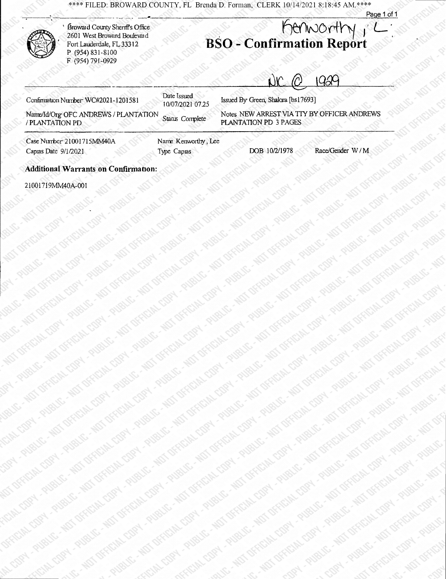

firoward County Shernff's Office<br>2601 West Broward Boulevard Fort Lauderdale, FL 33312<br>
P (954) 831-8100<br>
R (954) 791-0979 F (954) 79!-0929

## $\sum_{\text{2601 West Broward Boulevand}\atop \text{For LSMelvaledale, FL 33312}} 2501 \text{ West Broward Boulevand}$

1929

Date Issued Confirmation Number WC#2021-1201581  $\frac{L \text{ due tissue}}{10/07/20210725}$  Issued By Green, Shakira [bs17693] Name/Id/Org OFC ANDREWS / PLANTATION Status Complete Notes NEW ARREST VIA TTY BY OFFICER ANDREWS / PLANTATION PD 3 PAGES PLANTATION PD 3 PAGES ----

Case Number 21001715MM40A Name Kenworthy, Lee Capias Date 9/1/2021 Type Capias DOB 10/2/1978 Race/Gender W/M

Page 1 of 1

Additional Warrants on Confirmation:

21001719MM40A-001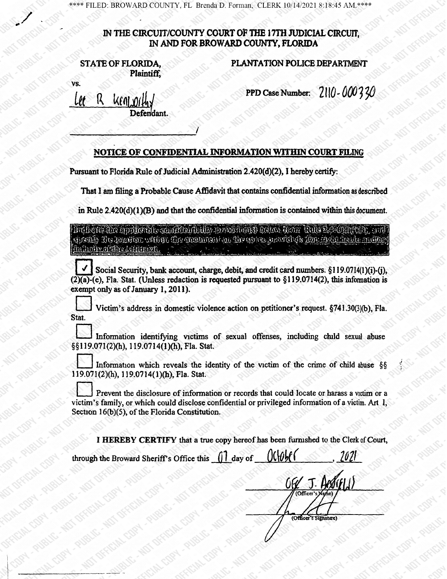#### IN THE CIRCUIT/COUNTY COURT OF THE 17TH JUDICIAL CIRCUIT. IN AND FOR BROWARD COUNTY, FLORIDA

Plaintiff,

**Defendant** 

Lee R kegroach

VS.

STATE OF FLORIDA, PLANTATION POLICE DEPARTMENT

PPD Case Number: 2110 - 000 3 30

NOTICE OF CONFIDENTIAL INFORMATION WITHIN COURT FILING

Pursuant to Florida Rule of Judicial Administration 2.420(d)(2), I hereby certify:

That I am filing a Probable Cause Affidavit that contains confidential information as described

in Rule  $2.420(d)(1)(B)$  and that the confidential information is contained within this document.

Unificite the spoile ble contitentially powerfunts) before from Rule 2.440 (from ), and eriorii) Aregariitor estiina iha aanimontan die gotae prostitede <u>ikoeniela druite onder:</u><br>Androise office eritimett

Social Security, bank account, charge, debit, and credit card numbers. §119.0714(1)(i)-(i).  $(2)(a)-(e)$ , Fla. Stat. (Unless redaction is requested pursuant to §119.0714(2), this information is exempt only as of January 1, 2011).

Victim's address in domestic violence action on petitioner's request. §741.30(3)(b), Fla. Stat.

0Information identifying victims of sexual offenses, including child sexual abuse §§119.071(2)(h), 119.0714(1)(h), Fla. Stat.

Information which reveals the identity of the victim of the crime of child abuse  $\S$ § 119.071(2)(h),119.0714(1)(h), Fla. Stat.

Prevent the disclosure of information or records that could locate or harass a victim or a victim's family, or which could disclose confidential or privileged information of a victim. Art I, Section 16(b)(5), of the Florida Constitution.

I HEREBY CERTIFY that a true copy hereof has been furmished to the Clerk of Court,

through the Broward Sheriff's Office this  $\int_0^1 dx$  of  $\int_0^1 dx$ 

OGC J. AOSGIL (Omeer s, *Name*)  $\mathbb{Z}^{\mathbb{Z}}$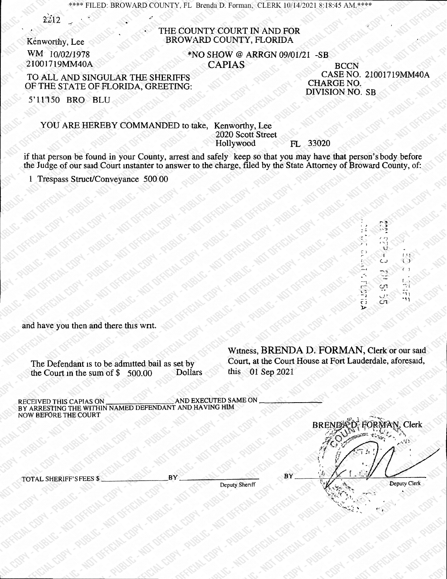2212

#### THE COUNTY COURT IN AND FOR Kenworthy, Lee BROWARD COUNTY, FLORIDA

WM 10/02/1978 \*NO SHOW @ ARRGN 09/01/21 -SB<br>21001719MM40A **CAPIAS** 

TO ALL AND SINGULAR THE SHERIFFS CASE NO. OF THE STATE OF FLORIDA, GREETING:

4>.

5'11"150 BRO BLU

21001719MM40A CAPIAS BCCN BCCN BCCN BCCN BCCN BCCN CASE NO. 21001719MM40A DIVISION NO. SB

rh.

r jon 1 november 198  $\overline{C}$ 

 $-7.875.5$  $\ddot{\mathbf{u}}$  $\frac{1}{2}$  circle  $\frac{1}{2}$ 

 $\left( \begin{array}{c} 1 \end{array} \right)$ 

 $\ddot{r}$ ,  $\ddot{r}$  $\epsilon$  :

3\*

YOU ARE HEREBY COMMANDED to take, Kenworthy, Lee 2020 Scott Street Hollywood FL 33020

if that person be found in your County, arrest and safely keep so that you may have that person's body before the Judge of our said Court instanter to answer to the charge, filed by the State Attorney of Broward County, of:

<sup>1</sup> Trespass Struct/Conveyance 500 00

and have you then and there this wrlt.

The Defendant is to be admitted bail as set by Court, at the Court<br>the Court in the sum of  $\$\,500.00$  Dollars this 01 Sep 2021 the Court in the sum of  $$500.00$ 

Witness, BRENDA D. FORMAN, Clerk or our said<br>Court, at the Court House at Fort Lauderdale, aforesaid,

RECEIVED THIS CAPIAS ON \_\_\_\_\_\_\_\_\_\_\_\_\_\_\_\_\_\_\_\_\_\_\_\_AND EXECUTED S/<br>BY ARRESTING THE WITHIN NAMED DEFENDANT AND HAVING HIM AND EXECUTED SAMEON. NOW BEFORETHE COURT

RMAN, Clerk  $\mathbb{Z} \setminus \mathbb{R}$  ,  $\mathbb{Z} \setminus \mathbb{R}$  $\mathcal{N}$  . The set of  $\mathcal{N}$ 

TOTAL SHERIFF'SFEES \$

BY

Deputy Shenff Deputy Clerk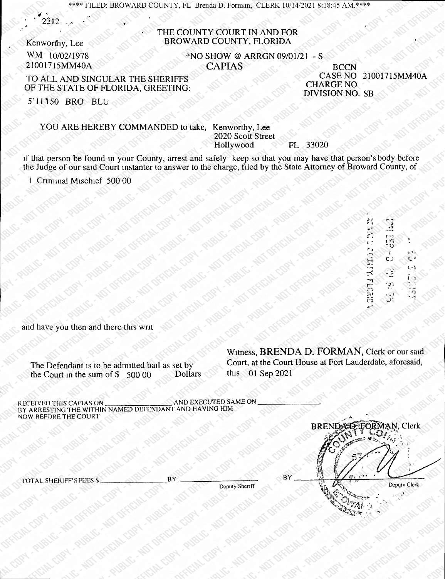$2212$ 

t-

#### THE COUNTY COURT IN AND FOR Kenworthy, Lee BROWARD COUNTY, FLORIDA

WM 10/02/1978 \*NO SHOW @ ARRGN 09/01/21<br>21001715MM40A **CAPIAS** S

TO ALL AND SINGULAR THE SHERIFFS CASE NO 21001716 OF THE STATE OF FLORIDA, GREETING:

5'11'150 BRO BLU

21001715MM40A CAPIAS BCCN BCCN BCCN BCCN BCCN BCCN CASE NO 21001715MM40A DIVISION NO. SB

YOU ARE HEREBY COMMANDED to take, Kenworthy, Lee 2020 Scott Street Hollywood FL 33020

if that person be found in your County, arrest and safely keep so that you may have that person'<sup>s</sup> body before the Judge of our said Court instanter to answer to the charge, filed by the State Attorney of Broward County, of

<sup>1</sup> Criminal Mischief 500 00

-5 .. r.:  $t$  f  $\cdot$   $\circ$ 111 CD. t.-) 11  $m \geq 1$  $\cdot$ 1

and have you then and there this writ

The Defendant is to be admitted bail as set by Court, at the Court the Court in the sum of  $\frac{1}{2}$  500 00 Dollars this 01 Sep 2021 the Court in the sum of  $$50000$ 

Witness, BRENDA D. FORMAN, Clerk or our said<br>Court, at the Court House at Fort Lauderdale, aforesaid,

RECEIVEDTHIS CAPIAS ON AND EXECUTED SAME ON BY ARRESTING THE WITHIN NAMED DEFENDANT AND HAVING HIM NOW BEFORE THE COURT AND AND A RESOLUTION OF A REFORE THE COURT

BRENDA **D-FORMAN**, Clerk  $R$ Simon  $\bigcap_{i=1}^n R_i$  $\begin{array}{c} \mathbb{R} \end{array}$  and  $\mathbb{R}$  . We are the set up of  $\mathbb{R}$ Deputy Sheriff  $\mathbb{R}$   $\mathbb{R}$  Deputy Clerk

:GEZG.. ,

TOTAL SHERIFF'SFEES \$ BY BY DEPUTY SHERIFF'S BY